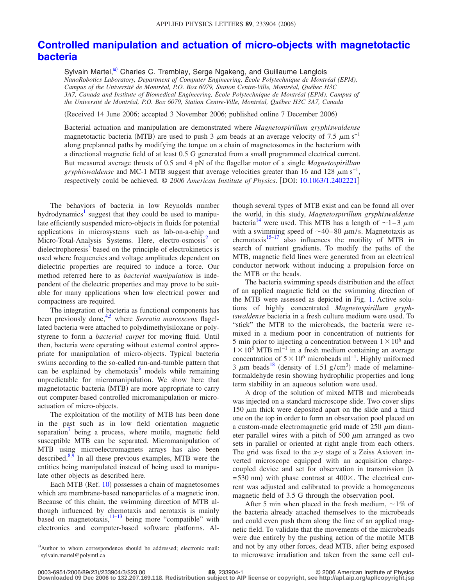## **[Controlled manipulation and actuation of micro-objects with magnetotactic](http://dx.doi.org/10.1063/1.2402221) [bacteria](http://dx.doi.org/10.1063/1.2402221)**

Sylvain Martel,<sup>a)</sup> Charles C. Tremblay, Serge Ngakeng, and Guillaume Langlois *NanoRobotics Laboratory, Department of Computer Engineering, École Polytechnique de Montréal (EPM), Campus of the Université de Montréal, P.O. Box 6079, Station Centre-Ville, Montréal, Québec H3C 3A7, Canada and Institute of Biomedical Engineering, École Polytechnique de Montréal (EPM), Campus of the Université de Montréal, P.O. Box 6079, Station Centre-Ville, Montréal, Québec H3C 3A7, Canada*

Received 14 June 2006; accepted 3 November 2006; published online 7 December 2006-

Bacterial actuation and manipulation are demonstrated where *Magnetospirillum gryphiswaldense* magnetotactic bacteria (MTB) are used to push 3  $\mu$ m beads at an average velocity of 7.5  $\mu$ m s<sup>-1</sup> along preplanned paths by modifying the torque on a chain of magnetosomes in the bacterium with a directional magnetic field of at least 0.5 G generated from a small programmed electrical current. But measured average thrusts of 0.5 and 4 pN of the flagellar motor of a single *Magnetospirillum gryphiswaldense* and MC-1 MTB suggest that average velocities greater than 16 and 128  $\mu$ m s<sup>-1</sup>, respectively could be achieved. © *2006 American Institute of Physics*. DOI: [10.1063/1.2402221](http://dx.doi.org/10.1063/1.2402221)

The behaviors of bacteria in low Reynolds number hydrodynamics<sup>1</sup> suggest that they could be used to manipulate efficiently suspended micro-objects in fluids for potential applications in microsystems such as lab-on-a-chip and Micro-Total-Analysis Systems. Here, electro-osmosis<sup>2</sup> or dielectrophoresis<sup>3</sup> based on the principle of electrokinetics is used where frequencies and voltage amplitudes dependent on dielectric properties are required to induce a force. Our method referred here to as *bacterial manipulation* is independent of the dielectric properties and may prove to be suitable for many applications when low electrical power and compactness are required.

The integration of bacteria as functional components has been previously done,<sup>4,[5](#page-2-4)</sup> where *Serratia marcescens* flagellated bacteria were attached to polydimethylsiloxane or polystyrene to form a *bacterial carpet* for moving fluid. Until then, bacteria were operating without external control appropriate for manipulation of micro-objects. Typical bacteria swims according to the so-called run-and-tumble pattern that can be explained by chemotaxis $6 \text{ models}$  while remaining unpredictable for micromanipulation. We show here that magnetotactic bacteria (MTB) are more appropriate to carry out computer-based controlled micromanipulation or microactuation of micro-objects.

The exploitation of the motility of MTB has been done in the past such as in low field orientation magnetic separation<sup>'</sup> being a process, where motile, magnetic field susceptible MTB can be separated. Micromanipulation of MTB using microelectromagnets arrays has also been described.<sup>8[,9](#page-2-8)</sup> In all these previous examples, MTB were the entities being manipulated instead of being used to manipulate other objects as described here.

Each MTB (Ref. [10](#page-2-9)) possesses a chain of magnetosomes which are membrane-based nanoparticles of a magnetic iron. Because of this chain, the swimming direction of MTB although influenced by chemotaxis and aerotaxis is mainly based on magnetotaxis, $11-13$  being more "compatible" with electronics and computer-based software platforms. Although several types of MTB exist and can be found all over the world, in this study, *Magnetospirillum gryphiswaldense* bacteria<sup>14</sup> were used. This MTB has a length of  $\sim$ 1–3  $\mu$ m with a swimming speed of  $\sim$ 40–80  $\mu$ m/s. Magnetotaxis as chemotaxis $15-17$  also influences the motility of MTB in search of nutrient gradients. To modify the paths of the MTB, magnetic field lines were generated from an electrical conductor network without inducing a propulsion force on the MTB or the beads.

The bacteria swimming speeds distribution and the effect of an applied magnetic field on the swimming direction of the MTB were assessed as depicted in Fig. [1.](#page-1-0) Active solutions of highly concentrated *Magnetospirillum gryphiswaldense* bacteria in a fresh culture medium were used. To "stick" the MTB to the microbeads, the bacteria were remixed in a medium poor in concentration of nutrients for 5 min prior to injecting a concentration between  $1 \times 10^6$  and 1 × 10<sup>8</sup> MTB ml<sup>-1</sup> in a fresh medium containing an average concentration of  $5 \times 10^6$  microbeads ml<sup>-1</sup>. Highly uniformed 3  $\mu$ m beads<sup>18</sup> (density of 1.51 g/cm<sup>3</sup>) made of melamineformaldehyde resin showing hydrophilic properties and long term stability in an aqueous solution were used.

A drop of the solution of mixed MTB and microbeads was injected on a standard microscope slide. Two cover slips 150  $\mu$ m thick were deposited apart on the slide and a third one on the top in order to form an observation pool placed on a custom-made electromagnetic grid made of 250  $\mu$ m diameter parallel wires with a pitch of 500  $\mu$ m arranged as two sets in parallel or oriented at right angle from each others. The grid was fixed to the *x*-*y* stage of a Zeiss Axiovert inverted microscope equipped with an acquisition chargecoupled device and set for observation in transmission  $(\lambda)$  $= 530$  nm) with phase contrast at  $400 \times$ . The electrical current was adjusted and calibrated to provide a homogeneous magnetic field of 3.5 G through the observation pool.

After 5 min when placed in the fresh medium,  $\sim$ 1% of the bacteria already attached themselves to the microbeads and could even push them along the line of an applied magnetic field. To validate that the movements of the microbeads were due entirely by the pushing action of the motile MTB and not by any other forces, dead MTB, after being exposed to microwave irradiation and taken from the same cell cul-

<span id="page-0-0"></span>a) Author to whom correspondence should be addressed; electronic mail: sylvain.martel@polymtl.ca

**<sup>29.</sup>** 233904-1 **89. 233904-1 2006 American Institute of Physics**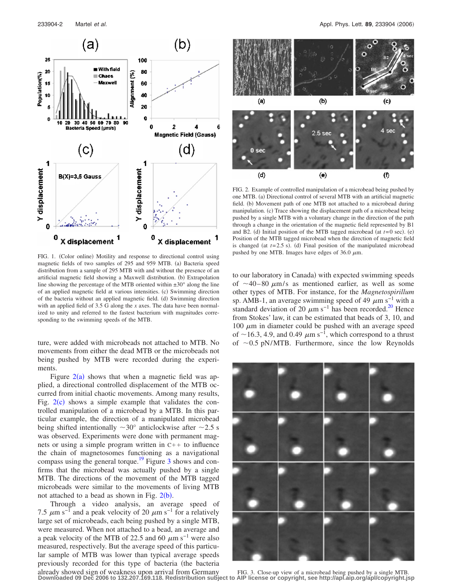<span id="page-1-0"></span>

FIG. 1. (Color online) Motility and response to directional control using magnetic fields of two samples of 295 and 959 MTB. (a) Bacteria speed distribution from a sample of 295 MTB with and without the presence of an artificial magnetic field showing a Maxwell distribution. (b) Extrapolation line showing the percentage of the MTB oriented within  $\pm 30^\circ$  along the line of an applied magnetic field at various intensities. (c) Swimming direction of the bacteria without an applied magnetic field. (d) Swimming direction with an applied field of 3.5 G along the *x* axes. The data have been normalized to unity and referred to the fastest bacterium with magnitudes corresponding to the swimming speeds of the MTB.

ture, were added with microbeads not attached to MTB. No movements from either the dead MTB or the microbeads not being pushed by MTB were recorded during the experiments.

Figure  $2(a)$  $2(a)$  shows that when a magnetic field was applied, a directional controlled displacement of the MTB occurred from initial chaotic movements. Among many results, Fig.  $2(c)$  $2(c)$  shows a simple example that validates the controlled manipulation of a microbead by a MTB. In this particular example, the direction of a manipulated microbead being shifted intentionally  $\sim 30^{\circ}$  anticlockwise after  $\sim 2.5$  s was observed. Experiments were done with permanent magnets or using a simple program written in  $C++$  to influence the chain of magnetosomes functioning as a navigational compass using the general torque.<sup>19</sup> Figure [3](#page-1-2) shows and confirms that the microbead was actually pushed by a single MTB. The directions of the movement of the MTB tagged microbeads were similar to the movements of living MTB not attached to a bead as shown in Fig.  $2(b)$  $2(b)$ .

Through a video analysis, an average speed of 7.5  $\mu$ m s<sup>-1</sup> and a peak velocity of 20  $\mu$ m s<sup>-1</sup> for a relatively large set of microbeads, each being pushed by a single MTB, were measured. When not attached to a bead, an average and a peak velocity of the MTB of 22.5 and 60  $\mu$ m s<sup>-1</sup> were also measured, respectively. But the average speed of this particular sample of MTB was lower than typical average speeds previously recorded for this type of bacteria (the bacteria already showed sign of weakness upon arrival from Germany

<span id="page-1-1"></span>

FIG. 2. Example of controlled manipulation of a microbead being pushed by one MTB. (a) Directional control of several MTB with an artificial magnetic field. (b) Movement path of one MTB not attached to a microbead during manipulation. (c) Trace showing the displacement path of a microbead being pushed by a single MTB with a voluntary change in the direction of the path through a change in the orientation of the magnetic field represented by B1 and B2. (d) Initial position of the MTB tagged microbead (at  $t=0$  sec). (e) Position of the MTB tagged microbead when the direction of magnetic field is changed (at  $t=2.5$  s). (d) Final position of the manipulated microbead pushed by one MTB. Images have edges of 36.0  $\mu$ m.

to our laboratory in Canada) with expected swimming speeds of  $\sim$ 40–80  $\mu$ m/s as mentioned earlier, as well as some other types of MTB. For instance, for the *Magnetospirillum* sp. AMB-1, an average swimming speed of 49  $\mu$ m s<sup>-1</sup> with a standard deviation of 20  $\mu$ m s<sup>-1</sup> has been recorded.<sup>20</sup> Hence from Stokes' law, it can be estimated that beads of 3, 10, and 100  $\mu$ m in diameter could be pushed with an average speed of ~16.3, 4.9, and 0.49  $\mu$ m s<sup>-1</sup>, which correspond to a thrust of  $\sim$ 0.5 pN/MTB. Furthermore, since the low Reynolds

<span id="page-1-2"></span>

FIG. 3. Close-up view of a microbead being pushed by a single MTB. **Downloaded 09 Dec 2006 to 132.207.169.118. Redistribution subject to AIP license or copyright, see http://apl.aip.org/apl/copyright.jsp**